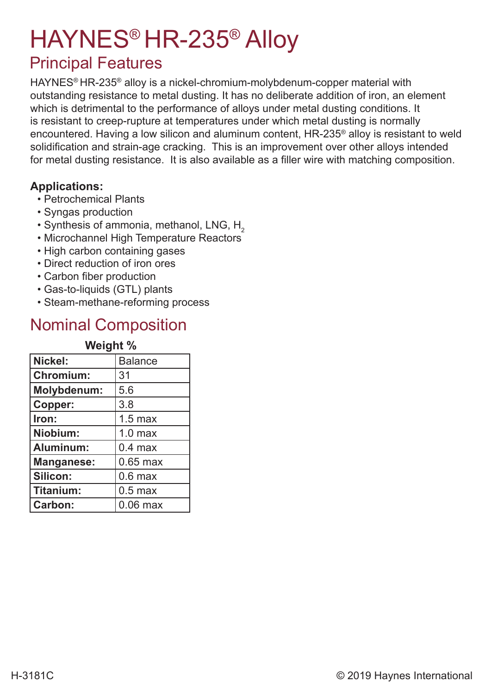# HAYNES® HR-235® Alloy

### Principal Features

HAYNES® HR-235® alloy is a nickel-chromium-molybdenum-copper material with outstanding resistance to metal dusting. It has no deliberate addition of iron, an element which is detrimental to the performance of alloys under metal dusting conditions. It is resistant to creep-rupture at temperatures under which metal dusting is normally encountered. Having a low silicon and aluminum content, HR-235® alloy is resistant to weld solidification and strain-age cracking. This is an improvement over other alloys intended for metal dusting resistance. It is also available as a filler wire with matching composition.

#### **Applications:**

- Petrochemical Plants
- Syngas production
- $\cdot$  Synthesis of ammonia, methanol, LNG, H<sub>2</sub>
- Microchannel High Temperature Reactors
- High carbon containing gases
- Direct reduction of iron ores
- Carbon fiber production
- Gas-to-liquids (GTL) plants
- Steam-methane-reforming process

### Nominal Composition

| Weight %           |                    |  |  |  |  |
|--------------------|--------------------|--|--|--|--|
| Nickel:            | <b>Balance</b>     |  |  |  |  |
| <b>Chromium:</b>   | 31                 |  |  |  |  |
| <b>Molybdenum:</b> | 5.6                |  |  |  |  |
| Copper:            | 3.8                |  |  |  |  |
| Iron:              | $1.5$ max          |  |  |  |  |
| Niobium:           | 1.0 <sub>max</sub> |  |  |  |  |
| Aluminum:          | $0.4$ max          |  |  |  |  |
| <b>Manganese:</b>  | $0.65$ max         |  |  |  |  |
| Silicon:           | $0.6$ max          |  |  |  |  |
| Titanium:          | $0.5$ max          |  |  |  |  |
| Carbon:            | $0.06$ max         |  |  |  |  |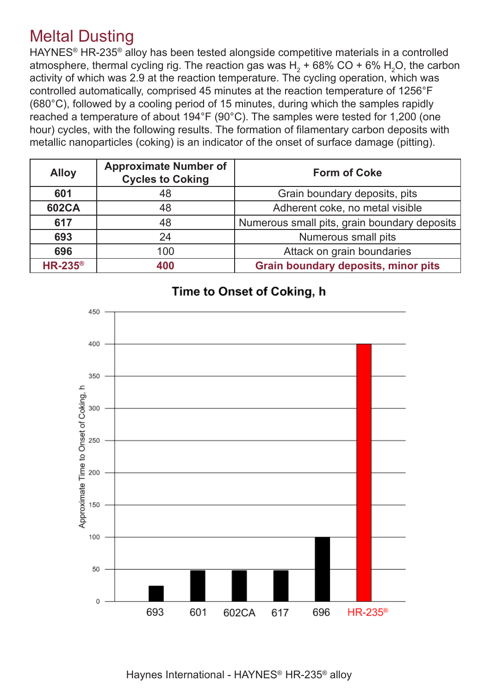### Meltal Dusting

HAYNES® HR-235® alloy has been tested alongside competitive materials in a controlled atmosphere, thermal cycling rig. The reaction gas was H $_{\rm 2}$  + 68% CO + 6% H $_{\rm 2}$ O, the carbon activity of which was 2.9 at the reaction temperature. The cycling operation, which was controlled automatically, comprised 45 minutes at the reaction temperature of 1256°F (680°C), followed by a cooling period of 15 minutes, during which the samples rapidly reached a temperature of about 194°F (90°C). The samples were tested for 1,200 (one hour) cycles, with the following results. The formation of filamentary carbon deposits with metallic nanoparticles (coking) is an indicator of the onset of surface damage (pitting).

| <b>Alloy</b>     | <b>Approximate Number of</b><br><b>Cycles to Coking</b> | <b>Form of Coke</b>                          |
|------------------|---------------------------------------------------------|----------------------------------------------|
| 601              | 48                                                      | Grain boundary deposits, pits                |
| <b>602CA</b>     | 48                                                      | Adherent coke, no metal visible              |
| 617              | 48                                                      | Numerous small pits, grain boundary deposits |
| 693              | 24                                                      | Numerous small pits                          |
| 696              | 100                                                     | Attack on grain boundaries                   |
| $HR-235^{\circ}$ | 400                                                     | <b>Grain boundary deposits, minor pits</b>   |



#### Time to Onset of Coking, h

Haynes International - HAYNES® HR-235® alloy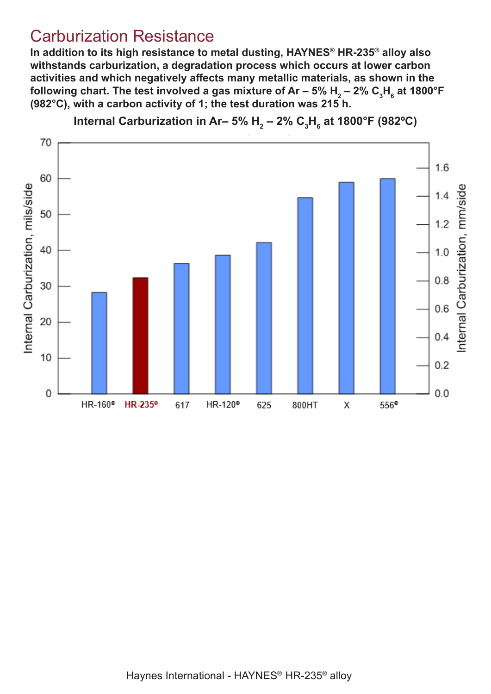#### Carburization Resistance

**In addition to its high resistance to metal dusting, HAYNES® HR-235® alloy also withstands carburization, a degradation process which occurs at lower carbon activities and which negatively affects many metallic materials, as shown in the**  following chart. The test involved a gas mixture of Ar – 5% H<sub>2</sub> – 2% C<sub>3</sub>H<sub>6</sub> at 1800°F **(982°C), with a carbon activity of 1; the test duration was 215 h.**



Internal Carburization in Ar– 5% H<sub>2</sub> – 2% C<sub>3</sub>H<sub>6</sub> at 1800°F (982°C)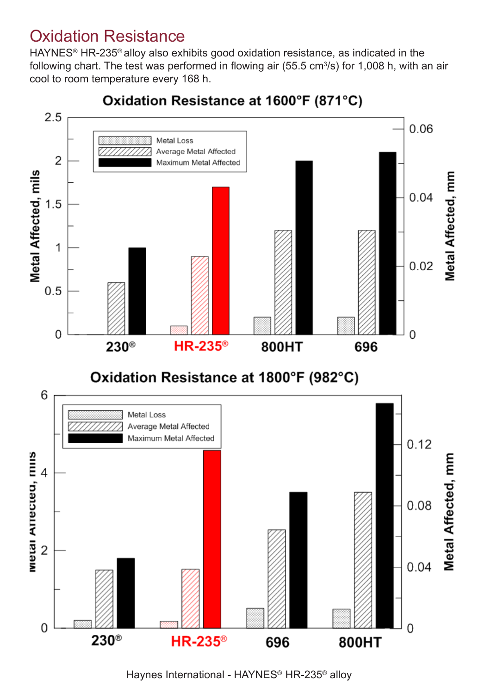### Oxidation Resistance

HAYNES® HR-235® alloy also exhibits good oxidation resistance, as indicated in the following chart. The test was performed in flowing air (55.5  $cm<sup>3</sup>/s$ ) for 1,008 h, with an air cool to room temperature every 168 h.



Oxidation Resistance at 1600°F (871°C)

Haynes International - HAYNES® HR-235® alloy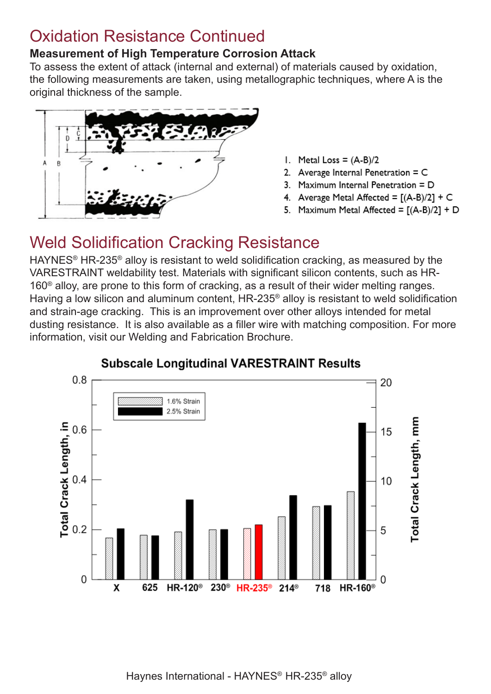### Oxidation Resistance Continued

#### **Measurement of High Temperature Corrosion Attack**

To assess the extent of attack (internal and external) of materials caused by oxidation, the following measurements are taken, using metallographic techniques, where A is the original thickness of the sample.



- 1. Metal Loss =  $(A-B)/2$
- 2. Average Internal Penetration = C
- 3. Maximum Internal Penetration = D
- 4. Average Metal Affected =  $[(A-B)/2] + C$
- 5. Maximum Metal Affected =  $[(A-B)/2] + D$

### Weld Solidification Cracking Resistance

HAYNES® HR-235® alloy is resistant to weld solidification cracking, as measured by the VARESTRAINT weldability test. Materials with significant silicon contents, such as HR-160® alloy, are prone to this form of cracking, as a result of their wider melting ranges. Having a low silicon and aluminum content, HR-235® alloy is resistant to weld solidification and strain-age cracking. This is an improvement over other alloys intended for metal dusting resistance. It is also available as a filler wire with matching composition. For more information, visit our Welding and Fabrication Brochure.



#### **Subscale Longitudinal VARESTRAINT Results**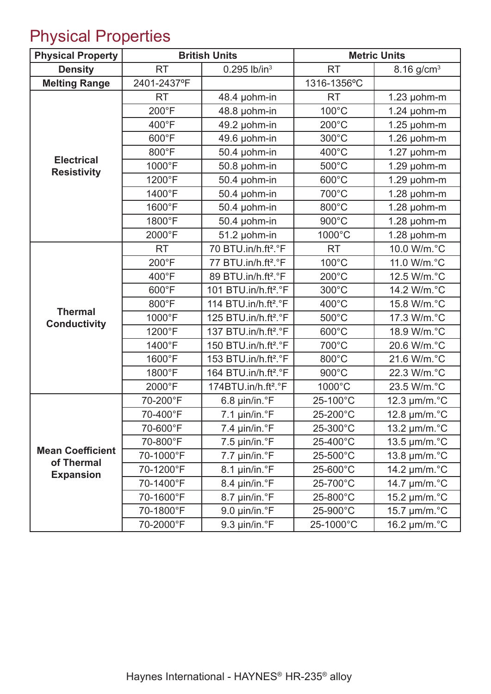## Physical Properties

| <b>Physical Property</b>                |                | <b>British Units</b>             |                 | <b>Metric Units</b>      |
|-----------------------------------------|----------------|----------------------------------|-----------------|--------------------------|
| <b>Density</b>                          | <b>RT</b>      | $0.295$ lb/in <sup>3</sup>       | <b>RT</b>       | $8.16$ g/cm <sup>3</sup> |
| <b>Melting Range</b>                    | 2401-2437°F    |                                  | 1316-1356°C     |                          |
|                                         | <b>RT</b>      | 48.4 µohm-in                     | <b>RT</b>       | $1.23$ µohm-m            |
|                                         | $200^{\circ}F$ | 48.8 µohm-in                     | 100°C           | $1.24$ µohm-m            |
|                                         | 400°F          | 49.2 µohm-in                     | 200°C           | $1.25$ µohm-m            |
|                                         | 600°F          | 49.6 µohm-in                     | 300°C           | $1.26$ µohm-m            |
|                                         | 800°F          | 50.4 µohm-in                     | 400°C           | $1.27$ µohm-m            |
| <b>Electrical</b><br><b>Resistivity</b> | 1000°F         | 50.8 µohm-in                     | 500°C           | $1.29$ µohm-m            |
|                                         | 1200°F         | 50.4 µohm-in                     | 600°C           | $1.29$ µohm-m            |
|                                         | 1400°F         | 50.4 µohm-in                     | 700°C           | $1.28$ µohm-m            |
|                                         | 1600°F         | 50.4 µohm-in                     | 800°C           | $1.28$ µohm-m            |
|                                         | 1800°F         | 50.4 µohm-in                     | 900°C           | $1.28$ µohm-m            |
|                                         | 2000°F         | 51.2 µohm-in                     | 1000°C          | 1.28 µohm-m              |
|                                         | <b>RT</b>      | 70 BTU.in/h.ft <sup>2</sup> .°F  | <b>RT</b>       | 10.0 W/m.°C              |
|                                         | 200°F          | 77 BTU.in/h.ft <sup>2</sup> .°F  | 100°C           | 11.0 W/m.°C              |
|                                         | 400°F          | 89 BTU.in/h.ft <sup>2</sup> .°F  | 200°C           | 12.5 W/m.°C              |
| <b>Thermal</b><br><b>Conductivity</b>   | 600°F          | 101 BTU.in/h.ft <sup>2</sup> .°F | 300°C           | 14.2 W/m.°C              |
|                                         | 800°F          | 114 BTU.in/h.ft <sup>2</sup> .°F | 400°C           | 15.8 W/m.°C              |
|                                         | 1000°F         | 125 BTU.in/h.ft <sup>2</sup> .°F | $500^{\circ}$ C | 17.3 W/m.°C              |
|                                         | 1200°F         | 137 BTU.in/h.ft <sup>2</sup> .°F | 600°C           | 18.9 W/m.°C              |
|                                         | 1400°F         | 150 BTU.in/h.ft <sup>2</sup> .°F | 700°C           | 20.6 W/m.°C              |
|                                         | 1600°F         | 153 BTU.in/h.ft <sup>2</sup> .°F | 800°C           | 21.6 W/m.°C              |
|                                         | 1800°F         | 164 BTU.in/h.ft <sup>2</sup> .°F | 900°C           | 22.3 W/m.°C              |
|                                         | 2000°F         | 174BTU.in/h.ft <sup>2</sup> .°F  | 1000°C          | 23.5 W/m.°C              |
|                                         | 70-200°F       | 6.8 µin/in.°F                    | 25-100°C        | 12.3 µm/m.°C             |
|                                         | 70-400°F       | 7.1 µin/in.°F                    | 25-200°C        | 12.8 µm/m.°C             |
|                                         | 70-600°F       | 7.4 µin/in.°F                    | 25-300°C        | 13.2 µm/m.°C             |
|                                         | 70-800°F       | $7.5 \mu$ in/in. $\degree$ F     | 25-400°C        | 13.5 µm/m.°C             |
| <b>Mean Coefficient</b>                 | 70-1000°F      | $7.7 \mu$ in/in. $\degree$ F     | 25-500°C        | 13.8 µm/m.°C             |
| of Thermal<br><b>Expansion</b>          | 70-1200°F      | 8.1 µin/in.°F                    | 25-600°C        | 14.2 µm/m.°C             |
|                                         | 70-1400°F      | 8.4 µin/in.°F                    | 25-700°C        | 14.7 µm/m.°C             |
|                                         | 70-1600°F      | 8.7 µin/in.°F                    | 25-800°C        | 15.2 µm/m.°C             |
|                                         | 70-1800°F      | 9.0 µin/in.°F                    | 25-900°C        | 15.7 µm/m.°C             |
|                                         | 70-2000°F      | 9.3 µin/in.°F                    | 25-1000°C       | 16.2 µm/m.°C             |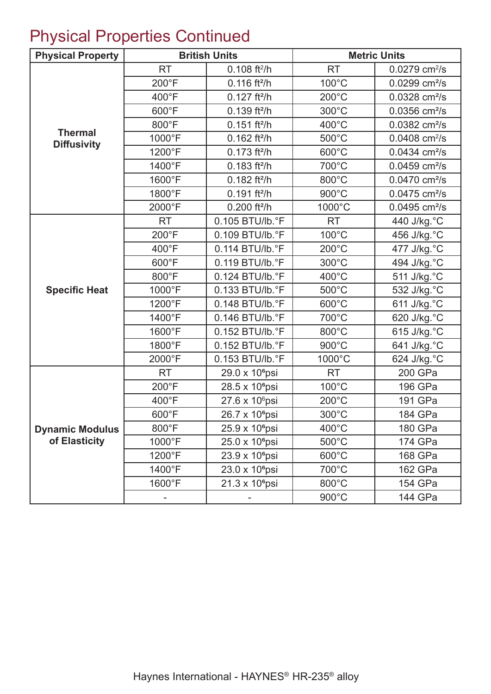## Physical Properties Continued

| <b>Physical Property</b>             |                 | <b>British Units</b>       |                 | <b>Metric Units</b>         |
|--------------------------------------|-----------------|----------------------------|-----------------|-----------------------------|
|                                      | <b>RT</b>       | $0.108$ ft <sup>2</sup> /h | <b>RT</b>       | $0.0279$ cm <sup>2</sup> /s |
|                                      | 200°F           | $0.116$ ft <sup>2</sup> /h | 100°C           | $0.0299$ cm <sup>2</sup> /s |
|                                      | 400°F           | $0.127$ ft <sup>2</sup> /h | 200°C           | $0.0328$ cm <sup>2</sup> /s |
|                                      | 600°F           | $0.139$ ft <sup>2</sup> /h | 300°C           | $0.0356$ cm <sup>2</sup> /s |
|                                      | 800°F           | $0.151$ ft <sup>2</sup> /h | 400°C           | $0.0382$ cm <sup>2</sup> /s |
| <b>Thermal</b><br><b>Diffusivity</b> | 1000°F          | $0.162$ ft <sup>2</sup> /h | 500°C           | $0.0408$ cm <sup>2</sup> /s |
|                                      | 1200°F          | $0.173$ ft <sup>2</sup> /h | 600°C           | $0.0434$ cm <sup>2</sup> /s |
|                                      | 1400°F          | $0.183$ ft <sup>2</sup> /h | 700°C           | $0.0459$ cm <sup>2</sup> /s |
|                                      | 1600°F          | $0.182$ ft <sup>2</sup> /h | 800°C           | $0.0470$ cm <sup>2</sup> /s |
|                                      | 1800°F          | $0.191$ ft <sup>2</sup> /h | 900°C           | $0.0475$ cm <sup>2</sup> /s |
|                                      | 2000°F          | $0.200$ ft <sup>2</sup> /h | 1000°C          | $0.0495$ cm <sup>2</sup> /s |
|                                      | <b>RT</b>       | 0.105 BTU/lb.°F            | <b>RT</b>       | 440 J/kg.°C                 |
|                                      | 200°F           | 0.109 BTU/lb.°F            | $100^{\circ}$ C | 456 J/kg.°C                 |
|                                      | 400°F           | 0.114 BTU/lb.°F            | $200^{\circ}$ C | 477 J/kg.°C                 |
|                                      | 600°F           | 0.119 BTU/lb.°F            | 300°C           | 494 J/kg.°C                 |
|                                      | 800°F           | 0.124 BTU/lb.°F            | 400°C           | 511 J/kg.°C                 |
| <b>Specific Heat</b>                 | 1000°F          | 0.133 BTU/lb.°F            | 500°C           | 532 J/kg.°C                 |
|                                      | 1200°F          | 0.148 BTU/lb.°F            | 600°C           | 611 J/kg. °C                |
|                                      | 1400°F          | 0.146 BTU/lb.°F            | 700°C           | 620 J/kg.°C                 |
|                                      | 1600°F          | 0.152 BTU/lb.°F            | 800°C           | 615 J/kg. °C                |
|                                      | 1800°F          | 0.152 BTU/lb.°F            | 900°C           | 641 J/kg.°C                 |
|                                      | 2000°F          | 0.153 BTU/lb.°F            | 1000°C          | 624 J/kg.°C                 |
|                                      | <b>RT</b>       | 29.0 x 10 <sup>6</sup> psi | <b>RT</b>       | 200 GPa                     |
|                                      | 200°F           | 28.5 x 10 <sup>6</sup> psi | $100^{\circ}$ C | 196 GPa                     |
|                                      | 400°F           | 27.6 x 10 <sup>6</sup> psi | 200°C           | 191 GPa                     |
|                                      | $600^{\circ}$ F | 26.7 x 10 <sup>6</sup> psi | 300°C           | 184 GPa                     |
| <b>Dynamic Modulus</b>               | 800°F           | 25.9 x 10 <sup>6</sup> psi | 400°C           | 180 GPa                     |
| of Elasticity                        | 1000°F          | 25.0 x 10 <sup>6</sup> psi | $500^{\circ}$ C | 174 GPa                     |
|                                      | 1200°F          | 23.9 x 10 <sup>6</sup> psi | $600^{\circ}$ C | 168 GPa                     |
|                                      | 1400°F          | 23.0 x 10 <sup>6</sup> psi | 700°C           | 162 GPa                     |
|                                      | 1600°F          | 21.3 x 10 <sup>6</sup> psi | 800°C           | 154 GPa                     |
|                                      |                 |                            | 900°C           | 144 GPa                     |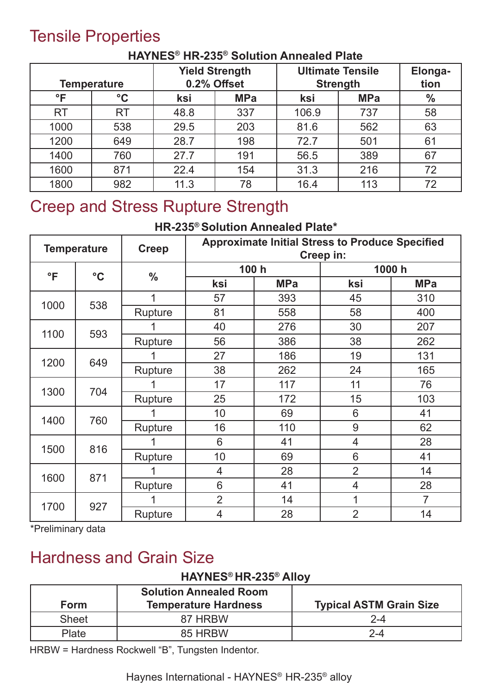### Tensile Properties

|           | <b>Temperature</b> | <b>Yield Strength</b><br>0.2% Offset |            | <b>Ultimate Tensile</b><br><b>Strength</b> |            | Elonga-<br>tion |
|-----------|--------------------|--------------------------------------|------------|--------------------------------------------|------------|-----------------|
| $\circ$ F | $\rm ^{\circ}C$    | ksi                                  | <b>MPa</b> | ksi                                        | <b>MPa</b> | $\frac{0}{0}$   |
| <b>RT</b> | <b>RT</b>          | 48.8                                 | 337        | 106.9                                      | 737        | 58              |
| 1000      | 538                | 29.5                                 | 203        | 81.6                                       | 562        | 63              |
| 1200      | 649                | 28.7                                 | 198        | 72.7                                       | 501        | 61              |
| 1400      | 760                | 27.7                                 | 191        | 56.5                                       | 389        | 67              |
| 1600      | 871                | 22.4                                 | 154        | 31.3                                       | 216        | 72              |
| 1800      | 982                | 11.3                                 | 78         | 16.4                                       | 113        | 72              |

#### **HAYNES® HR-235® Solution Annealed Plate**

### Creep and Stress Rupture Strength

#### **HR-235® Solution Annealed Plate\***

|              | <b>Temperature</b><br><b>Creep</b> |               | <b>Approximate Initial Stress to Produce Specified</b><br>Creep in: |            |                |            |  |
|--------------|------------------------------------|---------------|---------------------------------------------------------------------|------------|----------------|------------|--|
| $\mathsf{P}$ | $\rm ^{\circ}C$                    | $\frac{0}{0}$ | 100 h                                                               |            | 1000 h         |            |  |
|              |                                    |               | ksi                                                                 | <b>MPa</b> | ksi            | <b>MPa</b> |  |
| 1000         | 538                                | 1             | 57                                                                  | 393        | 45             | 310        |  |
|              |                                    | Rupture       | 81                                                                  | 558        | 58             | 400        |  |
|              |                                    |               | 40                                                                  | 276        | 30             | 207        |  |
| 1100         | 593                                | Rupture       | 56                                                                  | 386        | 38             | 262        |  |
|              |                                    |               | 27                                                                  | 186        | 19             | 131        |  |
| 1200         | 649                                | Rupture       | 38                                                                  | 262        | 24             | 165        |  |
| 1300         | 704                                |               | 17                                                                  | 117        | 11             | 76         |  |
|              |                                    | Rupture       | 25                                                                  | 172        | 15             | 103        |  |
| 1400         | 760                                |               | 10                                                                  | 69         | 6              | 41         |  |
|              |                                    | Rupture       | 16                                                                  | 110        | 9              | 62         |  |
|              |                                    |               | 6                                                                   | 41         | 4              | 28         |  |
| 1500         | 816                                | Rupture       | 10                                                                  | 69         | 6              | 41         |  |
|              |                                    |               | 4                                                                   | 28         | $\overline{2}$ | 14         |  |
| 1600         | 871                                | Rupture       | 6                                                                   | 41         | $\overline{4}$ | 28         |  |
|              |                                    |               | $\overline{2}$                                                      | 14         | 1              | 7          |  |
| 1700         | 927                                | Rupture       | 4                                                                   | 28         | $\overline{2}$ | 14         |  |

\*Preliminary data

### Hardness and Grain Size

#### **HAYNES® HR-235® Alloy**

| <b>Form</b>  | <b>Solution Annealed Room</b><br><b>Temperature Hardness</b> | <b>Typical ASTM Grain Size</b> |
|--------------|--------------------------------------------------------------|--------------------------------|
| <b>Sheet</b> | 87 HRBW                                                      | $2 - 4$                        |
| Plate        | 85 HRBW                                                      | 2-4                            |

HRBW = Hardness Rockwell "B", Tungsten Indentor.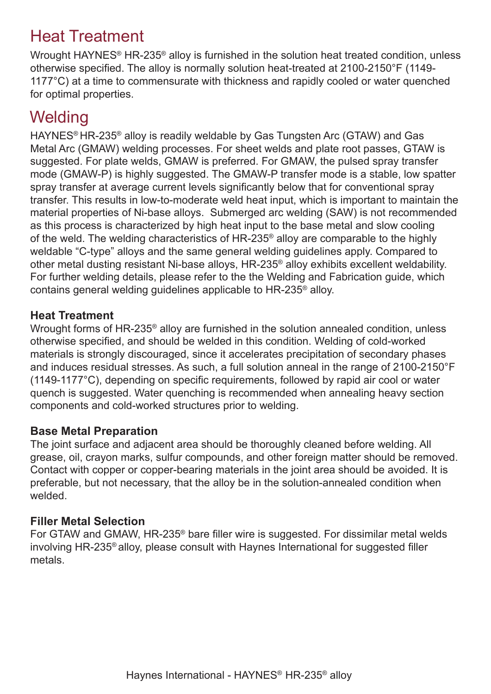### Heat Treatment

Wrought HAYNES® HR-235® alloy is furnished in the solution heat treated condition, unless otherwise specified. The alloy is normally solution heat-treated at 2100-2150°F (1149- 1177°C) at a time to commensurate with thickness and rapidly cooled or water quenched for optimal properties.

### **Welding**

HAYNES® HR-235® alloy is readily weldable by Gas Tungsten Arc (GTAW) and Gas Metal Arc (GMAW) welding processes. For sheet welds and plate root passes, GTAW is suggested. For plate welds, GMAW is preferred. For GMAW, the pulsed spray transfer mode (GMAW-P) is highly suggested. The GMAW-P transfer mode is a stable, low spatter spray transfer at average current levels significantly below that for conventional spray transfer. This results in low-to-moderate weld heat input, which is important to maintain the material properties of Ni-base alloys. Submerged arc welding (SAW) is not recommended as this process is characterized by high heat input to the base metal and slow cooling of the weld. The welding characteristics of HR-235® alloy are comparable to the highly weldable "C-type" alloys and the same general welding guidelines apply. Compared to other metal dusting resistant Ni-base alloys, HR-235® alloy exhibits excellent weldability. For further welding details, please refer to the the Welding and Fabrication guide, which contains general welding guidelines applicable to HR-235® alloy.

#### **Heat Treatment**

Wrought forms of HR-235® alloy are furnished in the solution annealed condition, unless otherwise specified, and should be welded in this condition. Welding of cold-worked materials is strongly discouraged, since it accelerates precipitation of secondary phases and induces residual stresses. As such, a full solution anneal in the range of 2100-2150°F (1149-1177°C), depending on specific requirements, followed by rapid air cool or water quench is suggested. Water quenching is recommended when annealing heavy section components and cold-worked structures prior to welding.

#### **Base Metal Preparation**

The joint surface and adjacent area should be thoroughly cleaned before welding. All grease, oil, crayon marks, sulfur compounds, and other foreign matter should be removed. Contact with copper or copper-bearing materials in the joint area should be avoided. It is preferable, but not necessary, that the alloy be in the solution-annealed condition when welded.

#### **Filler Metal Selection**

For GTAW and GMAW, HR-235® bare filler wire is suggested. For dissimilar metal welds involving HR-235® alloy, please consult with Haynes International for suggested filler metals.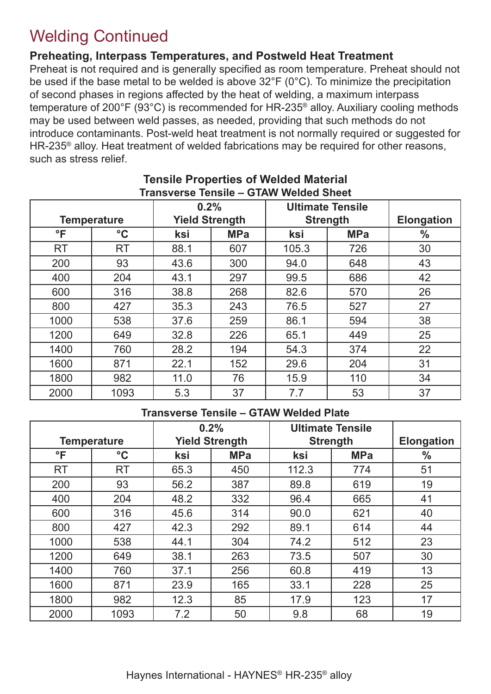### Welding Continued

**Preheating, Interpass Temperatures, and Postweld Heat Treatment**

Preheat is not required and is generally specified as room temperature. Preheat should not be used if the base metal to be welded is above 32°F (0°C). To minimize the precipitation of second phases in regions affected by the heat of welding, a maximum interpass temperature of 200°F (93°C) is recommended for HR-235® alloy. Auxiliary cooling methods may be used between weld passes, as needed, providing that such methods do not introduce contaminants. Post-weld heat treatment is not normally required or suggested for HR-235® alloy. Heat treatment of welded fabrications may be required for other reasons, such as stress relief.

|              |                    |                       | 0.2%       |       | <b>Ultimate Tensile</b> |                   |  |
|--------------|--------------------|-----------------------|------------|-------|-------------------------|-------------------|--|
|              | <b>Temperature</b> | <b>Yield Strength</b> |            |       | <b>Strength</b>         | <b>Elongation</b> |  |
| $\mathsf{P}$ | $\rm ^{\circ}C$    | ksi                   | <b>MPa</b> | ksi   | <b>MPa</b>              | $\frac{0}{0}$     |  |
| <b>RT</b>    | <b>RT</b>          | 88.1                  | 607        | 105.3 | 726                     | 30                |  |
| 200          | 93                 | 43.6                  | 300        | 94.0  | 648                     | 43                |  |
| 400          | 204                | 43.1                  | 297        | 99.5  | 686                     | 42                |  |
| 600          | 316                | 38.8                  | 268        | 82.6  | 570                     | 26                |  |
| 800          | 427                | 35.3                  | 243        | 76.5  | 527                     | 27                |  |
| 1000         | 538                | 37.6                  | 259        | 86.1  | 594                     | 38                |  |
| 1200         | 649                | 32.8                  | 226        | 65.1  | 449                     | 25                |  |
| 1400         | 760                | 28.2                  | 194        | 54.3  | 374                     | 22                |  |
| 1600         | 871                | 22.1                  | 152        | 29.6  | 204                     | 31                |  |
| 1800         | 982                | 11.0                  | 76         | 15.9  | 110                     | 34                |  |
| 2000         | 1093               | 5.3                   | 37         | 7.7   | 53                      | 37                |  |

#### **Tensile Properties of Welded Material Transverse Tensile – GTAW Welded Sheet**

#### **Transverse Tensile – GTAW Welded Plate**

|              |                    | 0.2% |                       | <b>Ultimate Tensile</b> |            |                   |
|--------------|--------------------|------|-----------------------|-------------------------|------------|-------------------|
|              | <b>Temperature</b> |      | <b>Yield Strength</b> | <b>Strength</b>         |            | <b>Elongation</b> |
| $\mathsf{P}$ | $\rm ^{\circ}C$    | ksi  | <b>MPa</b>            | ksi                     | <b>MPa</b> | $\frac{0}{0}$     |
| <b>RT</b>    | <b>RT</b>          | 65.3 | 450                   | 112.3                   | 774        | 51                |
| 200          | 93                 | 56.2 | 387                   | 89.8                    | 619        | 19                |
| 400          | 204                | 48.2 | 332                   | 96.4                    | 665        | 41                |
| 600          | 316                | 45.6 | 314                   | 90.0                    | 621        | 40                |
| 800          | 427                | 42.3 | 292                   | 89.1                    | 614        | 44                |
| 1000         | 538                | 44.1 | 304                   | 74.2                    | 512        | 23                |
| 1200         | 649                | 38.1 | 263                   | 73.5                    | 507        | 30                |
| 1400         | 760                | 37.1 | 256                   | 60.8                    | 419        | 13                |
| 1600         | 871                | 23.9 | 165                   | 33.1                    | 228        | 25                |
| 1800         | 982                | 12.3 | 85                    | 17.9                    | 123        | 17                |
| 2000         | 1093               | 7.2  | 50                    | 9.8                     | 68         | 19                |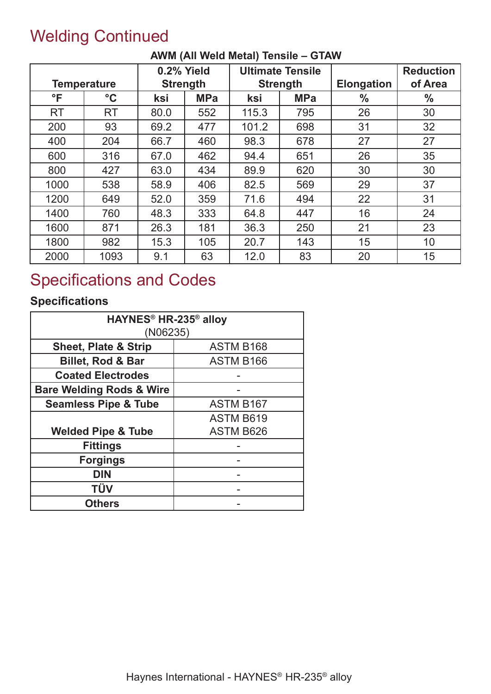### Welding Continued

|           | <b>Temperature</b> | 0.2% Yield<br><b>Strength</b> |            | <b>Ultimate Tensile</b><br><b>Strength</b> |            | <b>Elongation</b> | <b>Reduction</b><br>of Area |
|-----------|--------------------|-------------------------------|------------|--------------------------------------------|------------|-------------------|-----------------------------|
| °F        | $\rm ^{\circ}C$    | ksi                           | <b>MPa</b> | ksi                                        | <b>MPa</b> | $\frac{0}{0}$     | $\frac{0}{0}$               |
| <b>RT</b> | <b>RT</b>          | 80.0                          | 552        | 115.3                                      | 795        | 26                | 30                          |
| 200       | 93                 | 69.2                          | 477        | 101.2                                      | 698        | 31                | 32                          |
| 400       | 204                | 66.7                          | 460        | 98.3                                       | 678        | 27                | 27                          |
| 600       | 316                | 67.0                          | 462        | 94.4                                       | 651        | 26                | 35                          |
| 800       | 427                | 63.0                          | 434        | 89.9                                       | 620        | 30                | 30                          |
| 1000      | 538                | 58.9                          | 406        | 82.5                                       | 569        | 29                | 37                          |
| 1200      | 649                | 52.0                          | 359        | 71.6                                       | 494        | 22                | 31                          |
| 1400      | 760                | 48.3                          | 333        | 64.8                                       | 447        | 16                | 24                          |
| 1600      | 871                | 26.3                          | 181        | 36.3                                       | 250        | 21                | 23                          |
| 1800      | 982                | 15.3                          | 105        | 20.7                                       | 143        | 15                | 10                          |
| 2000      | 1093               | 9.1                           | 63         | 12.0                                       | 83         | 20                | 15                          |

#### **AWM (All Weld Metal) Tensile – GTAW**

### Specifications and Codes

#### **Specifications**

| HAYNES <sup>®</sup> HR-235 <sup>®</sup> alloy |                  |  |  |  |  |
|-----------------------------------------------|------------------|--|--|--|--|
| (NO6235)                                      |                  |  |  |  |  |
| <b>Sheet, Plate &amp; Strip</b>               | <b>ASTM B168</b> |  |  |  |  |
| <b>Billet, Rod &amp; Bar</b>                  | <b>ASTM B166</b> |  |  |  |  |
| <b>Coated Electrodes</b>                      |                  |  |  |  |  |
| <b>Bare Welding Rods &amp; Wire</b>           |                  |  |  |  |  |
| <b>Seamless Pipe &amp; Tube</b>               | <b>ASTM B167</b> |  |  |  |  |
|                                               | <b>ASTM B619</b> |  |  |  |  |
| <b>Welded Pipe &amp; Tube</b>                 | <b>ASTM B626</b> |  |  |  |  |
| <b>Fittings</b>                               |                  |  |  |  |  |
| <b>Forgings</b>                               |                  |  |  |  |  |
| <b>DIN</b>                                    |                  |  |  |  |  |
| TÜV                                           |                  |  |  |  |  |
| <b>Others</b>                                 |                  |  |  |  |  |